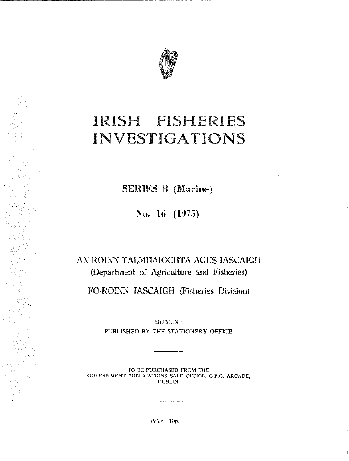

# IRISH FISHERIES INVESTIGATIONS

SERIES B (Marine)

No. 16 (1975)

## AN ROINN TALMHAIOCHTA AGUS IASCAIGH (Department of Agriculture and Fisheries)

FO-ROINN IASCAIGH (Fisheries Division)

DUBLIN:

PUBLISHED BY THE STATIONERY OFFICE

TO BE PURCHASED FROM THE GOVERNMENT PUBLICATIONS SALE OFFICE, G.P.O. ARCADE, DUBLIN.

*Price:* lOp.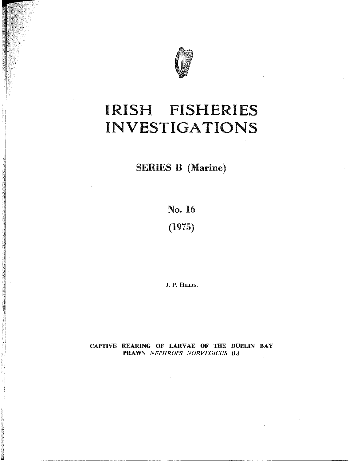

# IRISH FISHERIES **INVESTIGATIONS**

SERIES B (Marine)

No. 16 (1975)

J. P. HILLIS.

CAPTIVE REARING OF LARVAE OF THE DUBLIN BAY PRAWN NEPHROPS NORVEGICUS (L)

, **Jackson** 

-- ---- -----------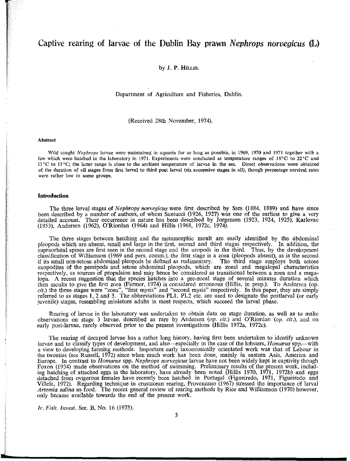## **Captive rearing of larvae of the Dublin Bay prawn** *Nephrops norvegicus* **(L)**

#### by J. P. HILLIS.

Department of Agriculture and Fisberies. Dublin.

(Received 28th November. 1974).

#### **Abstract**

**Wild caught** *Nephrops* **larvae were maintained in aquaria for as long as possible. in 1969, 1970 and 1971 together with a few which were hatched in the laboratory in 1971. Experiments were conducted at temperature ranges of 16°0 to 22°C and 11°C to 13 °C; the latter range is close to the ambient temperature of larvae in the sea. Direct observations, were obtained of the duration of all stages from first larval to third post larval (six successive stages in all), though percentage survival rates were rather low in some groups.** 

#### **Introduction**

The three larval stages of *Nephrops norvegicus* were first described by Sars (1884. 1889) and have since been described by a number of authors. of whom Santucci (1926. 1927) was one of the earliest to give a very detailed account. Their occurrence in nature has been described by Jorgensen (1923. 1924. 1925). Karlovac (1953). Andersen (1962). O'Riordan (1964) and Hillis (1968, 1972c, 1974).

The three stages between hatching and the metamorphic moult are easily identified by the abdominal pleopods which are absent. small and large in the first. second artd third stages respectively. In addition, the supraorbital spines are first seen in the second stage and the uropods in the third. Thus, by the development classification of Williamson (1969 and pers. comm.). the first stage is a zoea (pleopods absent). as is the second if its small non-setose abdominal pleopods be defined as rudimentary. The third stage employs both setose exopodites of the pereipods and setose abdominal pleopods. which are zoeal and megalopal characteristics respectively. as sources of propulsion and may hence be considered as transitional between a zoea and a megalopa. A recent suggestion that the species hatches into a pre-zoeal stage of several minutes duration which then moults to give the first zoea (Farmer, 1974) is considered erroneous (Hillis. in prep.). To Andersen (op. *cit.)* the tbree stages were "zoea". "first mysis" and "second mysis" respectively. In this paper, they are simply referred to as stages 1, 2 and 3. The abbreviations PL1, PL2 etc. are used to designate the postlarval (or early juvenile) stages, resembling miniature adults in most respects, which succeed the larval phase.

Rearing of larvae in the laboratory was undertaken to obtain data on stage duration. as well as to make observations on stage 3 larvae. described as rare by Andersen *(op. cit.)* and O'Riordan *(op. cit.),* and on early post-larvae, rarely observed prior to the present investigations (Hillis 1972a, 1972c).

The rearing of decapod larvae has a rather long history. having first been undertaken to identify unknown larvae and to classify types of development, and also-especially in the case of the lobsters, *Homarus* spp.-witb a view to developing farming methods. Important early taxonomically orientated work was that of Lebour in the twenties (see Russell, 1972) since when much work has been done, mainly in eastern Asia. America and Europe. In contrast to *Homarus* spp. *Nephrops norvegicus* larvae have not been widely kept in captivity though Foxon (1934) made observations on the method of swimming. Preliminary results of the present work, including hatching of attached eggs in the laboratory, have already been noted (Hillis 1970, 1971. 1972b) and eggs detached from ovigerous females have recently been hatched in Portugal (Figueiredo, 1971, Figueiredo and Villela, 1972). Regarding technique in crustacean rearing. Provenzano (1967) stressed the importance of larval *Artemia salina* as food. The recent general review of rearing methods by Rice and Williamson (1970) however. only became available towards the end of the present work.

*Ir. Fish. Invest.* Ser. B, No. 16 (1975).

J.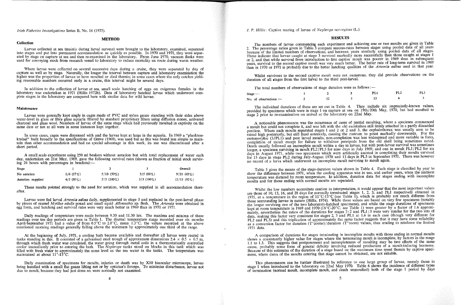#### *Irish Fisheries Investigations* Series B, No. 16 (1975).

#### **Collection**

### **METHOD**

. Larvae collected at sea (mainly during larval surveys) were brought to the laboratory, examined, separated mto stages and put into permanent accommodation as quickly as possible. In 1970 and 1971, they were separated by stage on capture at sea and then re-examined in the laboratory. From June 1970, vacuum flasks were used for conveying stock from research vessel to laboratory to reduce mortality en route during warm weather.

Where larvae were collected on several successive days during a cruise, they were separated by day of capture as well as by stage. Naturally, the longer the interval between capture and laboratory examination the higher was the proportion of larvae to' have moulted or died therein; in some cases where the only catches yieldmg reasonable numbers occurred early in a cruise, this interval might be several days.

In addition to the collection of larvae at sea, small scale hatching of eggs on ovigerous females in the laboratory was undertaken in 1971 (Hillis 1972b). Data of laboratory hatched larvae which underwent complete stages in the laboratory are compared here with similar data for wild larvae.

A small scale experiment using 250 ml beakers without aeration but with total replacement of water each day, undertaken on 21st May, 1969, gave the following survival rates (shown as fraction of initial stock surviving 24 hours with percentages in brackets): $-$ 

#### **Maintenance**

Larvae were generally kept singly in cages made of PVC and nylon gauze standing with their sides above water-level in glass or fibre glass aquaria filtered by standard proprietary filters using diffusion stones, activated charcoal and glass wool. Numbers of larvae of the same stage which had previously moulted in captivity on the same date or not at all were in some instances kept together.

At the beginning of July, 1971, a cooling bath became available and thereafter all larvae were reared in tanks standing in this. It consisted of a galvanised steel trough of approixmate dimensions  $2.4 \times 0.5 \times 0.5$  m, through which fresh water was circulated, the water going through metal coils in a thermostatically controlled cooler immediately prior to entering the bath. The *N ephrops* tanks stood on blocks in this tank which was filled with fresh water to approximately the same level as the sea water in the tanks. The temperature was maintained at about  $11^\circ$ -13<sup> $\circ$ </sup>C.

Daily examination of specimens for moults, injuries or death was by X10 binocular microscope, larvae being handled with a small flat gauze lifting net or by optician's forceps. To minimise disturbance, larvae not due to moult, because they had just done so, were normally not examined.

J. P. *Hillis*: Captive rearing of larvae of *Nephrops norvegicus* (L.).

In some cases, cages were dispensed with and the larvae kept at large in the aquaria. In 1969 a "planktonkreisel" built broadly to the specifications of Greve (1968), was used but as this was found less simple to maintain than other accommodation and had no special advantage in this work, its use was discontinued after a short period.

| Stage             |             |              |              | Overall       |
|-------------------|-------------|--------------|--------------|---------------|
| No aeration       | 1/6(17%)    | 5/10 (50%)   | $3/5(60\%)$  | 9/21(43%)     |
| Aeration supplied | $4/5(80\%)$ | $5/5(100\%)$ | $3/3$ (100%) | $12/13(92\%)$ |

These results pointed strongly to the need for aeration, which was supplied in all accommodation thereafter.

The numbers of larvae commencing each experiment and achieving one or two moults are given in Table 2. The percentage ratios given in Table 3 compare success-rates between stages using pooled data of all years because of the limited numbers of observations, and between years similarly using pooled data of all stages. These indicate that larvae caught at stage 3 survived markedly more successfully than those caught at stages 1 or 2, and that while survival from introduction to first captive moult was poorer in 1969 than in subsequent years, survival to the second captive moult was very much better. The better rate of long-term survival in 1969 than in 1970 or 1971 is probably due to the better hatching qualities of the *Artemia salina* used m that year.

Whilst survivors to the second captive moult were not numerous, they did provide observations on the duration of all stages from the first larval to the third post-larval.

The total numbers of observations of stage duration were

Larvae were fed larval *Artemia salina* daily, supplemented in stage 3 and replaced in the post-larval phase by pleces of mussel *Mytilus edulis* gonad and small squid *Alloteuthis* sp. flesh. The *Artemia* were obtained in egg form, and hatching and survival rates were very much better in 1969 than in 1970 or 1971.

The individual durations of these are set out in Table 4. They include six imprecisely-known values, provided by specimens which were in stage 1 on capture at sea on 19th/20th May, 1970, but had moulted to stage 2 prior to re-examination on arrival at the laboratory on 22nd May.

Daily readings of temperature were made between 9.30 and 11.30 hrs. The maxima and minima of these readings over ten day periods are given in Table 1. The diurnal temperature range recorded over six months April-September 1971 had a value of from 0.5°C to 2.8°C, mean 1.3°C, the values recorded at the above mentioned morning readings generally falling abuve the minimum by approximately one third of the range.

A noticeable phenomenon was the occurrence of cases of partial moulting, where a specimen commenced a moult but could not complete it, and was left with the old exoskelton still firmly attached in a partly discarded position. Where such moults separated stages 1 and 2 or 2 and 3, the cephalothorax was usually seen to be raised high posteriorly, but still fixed anteriorly, causing the rostrum to point markedly downwards. For the metamorphic (3/PL1) and post larval moults, non-completion was less widespread and more variable in form, completion of moult except for failure to withdraw pereipods from the old shell being sometimes noted. Death usually followed an incomplete moult within a day in larvae, but with post-larvae survival was sometimes longer, a specimen surviving in moult PL2/PL3 for nine days in July 1969, and one in moult PL1/PL2 for six days in August 1971, while two specimens which were artificially assisted in completing their moults survived for 15 days in stage PL2 during July-August 1970 and 13 days in PL3 in September 1971. There was however no record of a larva which underwent an incomplete moult surviving to moult again.

Table 5 gives the means of the stage-duration values shown in Table 4. Each stage is classified by year to show the difference between 1971, when the cooling apparatus was in use, and earlier years, when the ambient temperature was dictated by room temperature. In addition, duration data for stages ending with incomplete moults and for those ending with normal moults are separated.

#### RESULTS

This phenomenon can be further illustrated by reference to one large group of larvae, namely those in stage 1 when introduced to the laboratory on 22nd May 1970. Table 6 shows the incidence of different types of termination (normal moult, incomplete moult, and death unmoulted) both of the stage 1 penod by days

| Stage:                  |  | PL1 |
|-------------------------|--|-----|
| No. of observations $:$ |  |     |

|     | $re$ as follows: $-$ |      |     |
|-----|----------------------|------|-----|
| - 3 | PL1                  | PI.2 | PL3 |
| -5  | 13                   |      |     |



Whilst the low numbers necessitate caution in interpretation, it would appear that the most important values are those of 10, 13, 16, and 28 days for normally terminated stages 1, 2, 3, and PLI respectively obtained in 1971, at a temperature in the region of  $11^{\circ}$ C-13<sup>°</sup>C (see Table 1), which is probably not much different from those surrounding larvae in nature (Hillis, 1974). While these values are based on very few specimens (notably the longer surviving one of the two laboratory-hatched specimens), and while the stage durations of specimens kept at room temperature in 1969 and 1970 (16°C-20°C, see Table 1) were greater by a factor of 1.6 approximately, nevertheless the ratios of the durations for stages  $3:2$  and PLI: 3 were very similar for the two sets of data, making this factor very consistent for stages 2, 3 and PLI at 1.6 in each case (though very different for PL2 and PL3) and this triplication of approximately the same factor suggests that it may have some reliability as a conversion factor for duration (T°cooler)/duration (T°room) values, thus tending to reinforce the limited 1971 data.

A comparison of durations for stages terminating in incomplete moults with those ending in normal moults shows a consistantly higher value for stages where the terminating moult is incomplete, by factors in the range 1.1 to 1.3. This suggests that postponement and incompleteness of moulting may be two effects of the same cause, probably some form of general debility involving reduced production of a moult-inducing hormone. Because of this estimates of the duration of a stage based on the maximum time spent therein by captive specimens, where dates of the moults entering that stage cannot be obtained, are not reliable.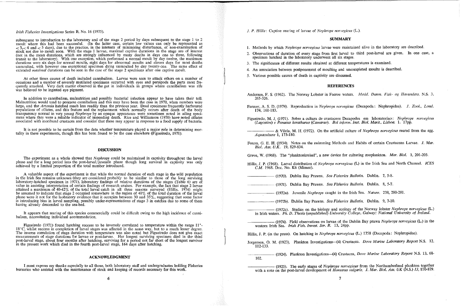#### *Irish Fisheries Investigations* Series B, No. 16 (1975).

subsequent to introduction to the laboratory and of the stage 2 period by days subsequent to the stage I to 2 moult where this had been successful. (In the latter case, certain low values can only be represented as  $<$  3, $<$  4 and  $<$  5 days), due to the practice, in the interests of minimising disturbance, of non-examination of stock not due to moult soon. With the stage 1 larvae, maximal captive durations in the stage are of interest (not in the mean durations, which are strongly influenced by many deaths in days one to three, following transit to the laboratory). With one exception, which performed a normal moult by day twelve, the maximum durations were six days for normal moults, eight days for abnormal moults and eleven days for most deaths unmouIted, with however one exceptional specimen dying unmoulted by day twenty-one. The same effect of extended *maximal* durations can be seen in the case of the stage 2 specimens after one captive moult.

It is not possible to be certain from the data whether temperature played a major role in determining mortality in these experiments, though this has been found to be the case elsewhere (Figueiredo, 1971).

At other times causes of death included cannibalism. Larvae were seen to attack others on a number of occasions and a number of severely mutilated specimens occurred with eyes and pereipods the parts most frequently attacked. Very dark matter observed in the gut in individuals in groups where cannibalism was rife was believed to be ingested eye pigment.

The experiment as a whole showed that *Nephrops* could be maintained in captivity throughout the larval phase and for a long period into the post-Iarval/iuvenile phase though long survival. in captivity was only achieved by a limited proportion of the total number introduced.

In addition to cannibalism, malnutrition and possibly bacterial infection appear to have taken their toll. Malnutrition wonld tend to promote cannibalism and this may have been the case in 1970, when numbers were large, and the *Artemia* hatched much less readily than the previous year. Dead specimens frequently harboured populations of ciliates, and this feature and the replacement which normally occurs after death of the body transparency normal in very young *Nephrops* by an opaque appearance were sometimes noted in ailing specimens where they were a reliable indicator of impending death. Rice and Williamson (1970) have noted ciliates associated with moribund crustacea and consider that these may appear in response to a food supply of bacteria.

It appears that rearing of this species commercially could be difficult owing to the high incidence of cannibalism, necessitating individual accommodation.

Figueiredo (1971) found hatching success to be inversely correlated to temperature within the range  $11^{\circ}$ -18"C, whilst success in completion of larval stages was affected in the same way, but to a much lesser degree. The inverse correlation of stage duration with temperature was also noted but Figueiredo does not give exact measurements of stage durations for larvae or post-larvae. Her longest surviving specimen died in the third post-larval stage, about four months after hatching, surviving for a period not far short of the longest survivor in the present work which died in the fourth post-larval stage, 164 days after hatching.

#### **DISCUSSION**

A valuable aspect of the experiment is that while the normal duration of each stage in the wild population in *tlie* Irish Sea remains unknown (they are considered probably to be similar to those of the long surviving laboratory-hatched specimen in 1971), laboratory findings of relative durations of the stages (Table 6) are of value in assisting interpretation of certain findings of research cruises. For example, the fact that stage 2 larvae attained a maximum of 40-42% of the total larval catch in all three seasons surveyed (Hillis, 1974) might be assumed to indicate that stage 2 occupied somewhere in the region of 40% of the total duration of the larval phase were it not for the laobratory evidence' that it occupies between 30 and 35 %, suggesting that some factor is introducing bias in larval sampling, possibly under-representations of stage 3 in catches due to some of them having already descended to the sea-bed.

- (I 972a). Juvenile *Nephrops* caught in the Irish Sea. *Nature.* 238, 280-281.
- (l972b). Dublin Bay Prawns. *Sea Fisheries Bulletin.* Dublin. 9, 7-10.
- in Irish waters. *Ph. D. Thesis (unpublished) University College, Galway; National University of Ireland.*
- western Irish Sea. *Irish Fish. Invest. Ser. B.* 13, 24pp.
- Hillis, J. P. (in the press). On hatching in *Nephrops norvegicus* (L.) 1758 (Decapoda: Nephropidae).
- Jorgensen, O. M. (1923), Plankton Investigations-(4) Crustacea. *Dove Marine Laboratory Report* N.S. 12, 112-133.
- 102.
- with a note on the post-larval development of *Homarus vulgaris. J. Mar. Biol. Ass. UK* (N.S.) 13, 870-879.

#### **ACKNOWLEDGMENT**

I must express my thanks especially to all those, both laboratory staff and undergraduates holding Fisheries bursaries who assisted with the maintenance of stock and keeping of records necessary for this work.

J. P. *Hillis:* Captive rearing of larvae of *Nephrops norvegicus* (L.).

#### SUMMARY

2. Observations of duration of every stage from first larval to third post-larval are given. In one case, a

- 1. Methods by which *Nephrops norvegicus* larvae were maintained alive in the laboratory are described.
- specimen hatched in the laboratory underwent all six stages.
- 3. The significance of different results obtained at different temperatures is examined.
- 4. An association between postponement of moulting and uncompleted moults is described.
- 5. Various possible causes of death in captivity are discussed.

### REFERENCES

Andersen, F. S. (1962). The Norway Lobster in Faeroe waters. *Medd. Danm. Fisk- og Havunders.* N.S. 3.

- 265-326.
- Farmer, A. S. D. (1974). Reproduction in *Nephrops norvegicus* (Decapoda: Nephropidae). J. *Zool., Lond.*  174, 161-183.
- *(Lagostim) e Penaeus kerathurus (Camarao). Bol inform. Inst. Bioi. Marit., Lisboa.* 1. 17pp.

Figueiredo, M. J, (1971). Sobre a cultura de crustaceos Decapodes em laboratoriao: *Nephrops norvegicus* 

------ & Vilela, M. H. (1972). On the artificial culture of *Nephrops norvegicus* reared from the egg. *Aquaculture* 1, 173-180.

Foxon, G. E. H. (1934). Notes on the swimming Methods and Habits of certain Crustacean Larvae. J. *Mar. Bioi. Ass. U.K.* 19, 829-834.

Greve, W. (1968). The "planktonkreisel", a new device for culturing zooplankton. *Mar. Bioi.* 1, 201-203.

Hillis, J. P. (f968). Larval distribution of *Nep/trops norvegicus* (L) in the Irish Sea and North Channel. *ICES C.M.* 1968. Doc. No. K6 (Mimeo).

(1970). Dublin Bay Prawns. *Sea Fisheries Bulletin.* Dublin. 7, 5-8.

(1971). Dublin Bay Prawns. *Sea Fisheries Bulletin.* Dublin. 8, 5-7.

\_\_\_\_\_\_ (1972c). Studies on the biology and ecology of the Norway lobster Nep~rop~ *norvegicus* (L.)

\_\_\_\_\_\_ (1974). Field observations on larvae of the Dublin Bay prawn *Nephrops norvegicus* (L.) in the

\_\_\_\_\_\_ (1924)\_ Plankton Investigations-(4) Crustacea, *Dove Marine Laboratory Report* N.S. 13, 68-

\_\_\_\_\_\_ (1925). The early stages of *Nephrops norvegicus* ~rom the Northumberland plankton together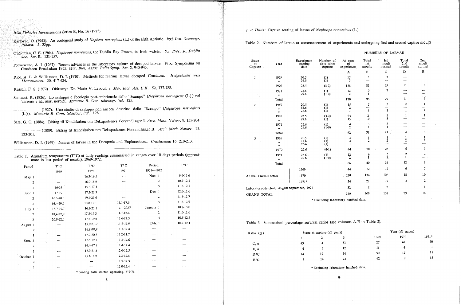-----------------~----------------~---~-~-

*Irish Fisheries Investigations* Series B, No. 16 (1975).

- Karlovac, O. (1953). An ecological study of *Nephros norvegicus* (L.) of the high Adriatic. *Izvj. Inst. Oceanogr. Ribarst.* 5, 55pp.
- O'Riordan, C. E. (1964). *Nephrops norvegicus,* the Dublin Bay Prawn, in Irish waters. *Sci. Proc. R. Dublin Soc.* Ser. B. 131-157.
- Provenzano, A. J. (1967). Recent advances in the laboratory culture of decapod larvae. Proc. Symposium on Crustacea Ernakulam 1965, *Mar. Bioi. Assoc. India Symp.* Ser. 2, 940-945.
- Rice, A. L. & Williamson, D. I. (1970). Methods for rearing larval decapod Crustacea. *Helgoländer wiss Meeresunters.* 20, 417-434.

- Santucci, R. (1926). Lo sviluppo e l'ecologia post-embrionale dello "Scampo" (Nephrops norvegicus (L.)) nel Tirreno e nei mari nordici. *Memorie R. Com. talassogr. ital.* 125.
- \_\_\_\_\_\_ (1927). Una- stadio di sviluppo non ancora descritta- della- "Scampo" *(Nephrops norvegicus*  (L.»). *Memorie R. Com. talassogr. ita!. 128.*

Russell, F. S. (1972). Obituary: Dr. Marie V. Lebour. J. *Mar. Bioi. Ass. U.K.* 52, 777-788.

Sars, G. O. (1884). Bidrag til Kundskaben am Dekapodornes Forvandlinger 1. *Arch. Math. Naturv.* 9, 155-204.

\_\_\_\_\_\_ (1889). Bidrag til Kundskaben om Dekapodernes Forvandlinger II. *Arch. Math. Naturv. 13,*  133-201.

Williamson, D. 1. (1969). Names of larvae in the Decapoda and Euphausiacea, *Crustaeeana* 16, 210-213.

|           | mate in last period of month), 1969-1972. | Table 1. Aquarium temperature (T°C) at daily readings summarised in ranges over 10 days periods (approxi- |                |            |               |
|-----------|-------------------------------------------|-----------------------------------------------------------------------------------------------------------|----------------|------------|---------------|
| Period    | $T^{\circ}C$                              | $\mathbf{T}^{\circ}\mathbf{C}$                                                                            | $T^{\circ}C$   | Period     | $T^oC$        |
|           | 1969                                      | 1970                                                                                                      | 1971           | 1971--1972 |               |
| May 1     |                                           | 16.7-19.5                                                                                                 |                | Nov. 1     | 9.6-11.6      |
|           | 2                                         | 16.0 18.9                                                                                                 |                | 2          | $10.7 - 12.1$ |
|           | $16 - 19$<br>3                            | 15.6-17.4                                                                                                 |                | 3          | 11.6-12.1     |
| June 1    | $17-19$                                   | 17.1 22.3                                                                                                 |                | Dec. 1     | 12.0-12.6     |
|           | 16.3-20.0<br>2                            | 19.1-23.6                                                                                                 |                | 2          | 11.3-12.7     |
|           | 16.4-19.0<br>3                            | 18.0-19.1                                                                                                 | 15.1-17.6      | 3          | 11.6-12.7     |
| July 1    | 15.7-19.7                                 | 16.8-21.1                                                                                                 | $12.1 - 20.5*$ | January 1  | $10.7 - 13.0$ |
|           | 18.4-22.0<br>2                            | 17.8-19.3                                                                                                 | 11.7-12.4      | 2          | 11.6-12.6     |
|           | 20.9-22.0<br>3                            | 17.2-19.6                                                                                                 | 11.6-12.5      | 3          | 10.5-12.5     |
| August 1  |                                           | 19.9-21.9                                                                                                 | 11.6-11.9      | Feb. 1     | $10.2 - 12.1$ |
|           | 2                                         | 16.8-20.8                                                                                                 | 11.5-12.4      |            |               |
|           | 3                                         | 17.2 20.2                                                                                                 | $11.2 - 11.7$  |            |               |
| Sept. 1   |                                           | 17.5-19.1                                                                                                 | 11.5-12.6      |            |               |
|           | $\overline{2}$                            | 14.4-17.8                                                                                                 | 11.4-12.4      |            |               |
|           | ٩                                         | 17.0-21.4                                                                                                 | 12.0-12.5      |            |               |
| October 1 |                                           | 13.3-16.2                                                                                                 | $12.3 - 12.6$  |            |               |
|           | 2                                         |                                                                                                           | 11.9-12.3      |            |               |
|           | 3                                         |                                                                                                           | 12.0-12.4      |            | —.            |

'" **cooling bath started operating,** 5~7~71.

8

#### J. P. *Hillis:* Captive rearing of larvae of *Nephrops norvegicus* (L.J.

Table 2. Numbers of larvae at commencement of experiments and undergoing first and second captive moults.

#### NUMBERS OF LARVAE

| Stage<br>at<br>Capture   | Year                                                | Experiment<br>starting<br>date             | Number of<br>days since<br>capture | At start<br>of<br>experiment | Total<br>1st<br>moults | <b>Ist</b><br>moult<br>normal | Total<br>$2nd$ ,<br>moults | 2nd<br>moult<br>normal |
|--------------------------|-----------------------------------------------------|--------------------------------------------|------------------------------------|------------------------------|------------------------|-------------------------------|----------------------------|------------------------|
|                          |                                                     |                                            |                                    | A                            | $\, {\bf B}$           | $\mathbf C$                   | D                          | ${\bf E}$              |
| 1                        | 1969<br>$\overline{\mathbf{33}}$                    | 20.5<br>26.6                               | $\binom{1}{1}$                     | 15<br>$\frac{3}{2}$          | 3                      | 3                             | --                         |                        |
|                          | 1970                                                | 22.5                                       | $(3-2)$                            | 138                          | 83                     | 69                            | 11                         | 6                      |
|                          | 1971<br>$\mathbf{y}$                                | 25.6<br>29.6                               | (1)<br>$(1-0)$                     | 12<br>$\overline{2}$         | 9<br>$\mathbf{I}$      | 7                             |                            |                        |
|                          | Total                                               |                                            |                                    | 170                          | 96                     | 79                            | 11                         | 6                      |
| $\overline{2}$<br>$\sim$ | 1969<br>$\mathbf{52}$<br>$\boldsymbol{\mathcal{Y}}$ | 20.5<br>12,6<br>26.6                       | (1)<br>(1)<br>(1)                  | 15<br>$\overline{c}$<br>1    | 5<br>$\mathbf{I}$      | 5<br>$\mathbf{1}$             | 2<br>----<br>$\mathbf{1}$  | 1<br>$\mathbf{1}$      |
|                          | 1970<br>,,                                          | 22.5<br>27.6                               | $(3-2)$<br>(1)                     | 23<br>15                     | 11<br>10               | 3<br>8                        | 1                          | 1                      |
|                          | 1971<br>$\pmb{\mathcal{Y}}$                         | 25.6<br>29.6                               | (1)<br>$(1-0)$                     | 4<br>$\overline{2}$          | 3<br>I                 | 3<br>$\mathbf{1}$             |                            |                        |
|                          | Total                                               |                                            |                                    | 62                           | 31                     | 21                            | 4                          | 3                      |
| 3                        | 1969<br>$\boldsymbol{\mathcal{D}}$<br>55            | 20.5<br>12.6<br>26.6                       | (1)<br>$\left(1\right)$<br>(1)     | 3<br>4<br>$\mathbf{1}$       | 1<br>2<br><u>.</u>     | 1<br>2                        | 1<br>2                     | 1<br>2                 |
|                          | 1970                                                | 27.6                                       | $(4-1)$                            | 44                           | 30                     | 26                            | 6                          | 3                      |
|                          | 1971<br>33                                          | 25.6<br>29.6                               | (1)<br>$(1-0)$                     | 12<br>$\overline{2}$         | 6<br>1                 | 5<br>1                        | $\frac{2}{1}$              | $\boldsymbol{2}$       |
|                          | Total                                               |                                            |                                    | 66                           | 40                     | 35                            | 12                         | 8                      |
|                          |                                                     | 1969                                       |                                    | 44                           | 12                     | 12                            | 6                          | 5                      |
|                          | Annual Overall totals                               |                                            |                                    | 220                          | 134                    | 106                           | 18                         | 10                     |
|                          |                                                     | 1971*                                      |                                    | 34                           | 21                     | 17                            | 3                          | $\mathbf 2$            |
|                          |                                                     | Laboratory-Hatched, August-September, 1971 |                                    | 32                           | 2                      | $\overline{\mathbf{c}}$       | 1                          | 1                      |
| <b>GRAND TOTAL</b>       |                                                     |                                            |                                    | 330                          | 169                    | 137                           | 29                         | 18                     |

**\* Excluding laboratory hatched data.** 

Table 3. Summarised percentage survival ratios (see columns A-E in Table 2).

| Ratio $(\%)$ |    | Stage at capture (all years) |     |
|--------------|----|------------------------------|-----|
| ×.           |    | 2                            | 3   |
| C/A          | 43 | 34                           | 53  |
| E/A          | 4  | 5                            | 12. |
| D/C          | 14 | 19                           | 34  |
| E/C          | 8  | 14<br>٠                      | 23  |

**'" Excluding laboratory hatched data.** 

| Year (all stages) |                           |         |  |  |  |  |  |
|-------------------|---------------------------|---------|--|--|--|--|--|
| 1969              | 1970                      | $1971*$ |  |  |  |  |  |
| 27                | 48<br>٠                   | 50      |  |  |  |  |  |
| 11                | 4<br>$\ddot{\phantom{1}}$ | 6       |  |  |  |  |  |
| 50                | 17                        | 18      |  |  |  |  |  |
| 42                | 9                         | 12      |  |  |  |  |  |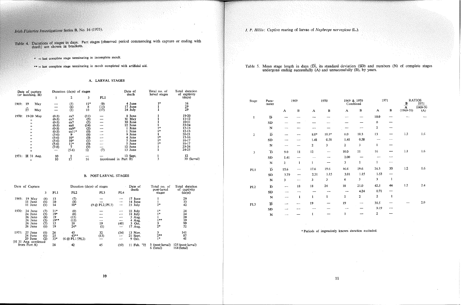- of stages in days. Part stages (observed period commencing with capture or ending with brackets.
	- $*$   $=$  last complete stage terminating in incomplete moult.
	- **\*\* = last complete stage terminating in moult completed with artificial aid.**

#### A. LARVAL STAGES

| Date of capture<br>(or hatching, H) |                                                                                      |           | Duration (days) of stages                                                                                           |                                                                                                           |                                                                                                                                         |                       | Date of<br>death | Total no. of<br>larval stages                                                                                        | Total duration<br>of captivity |                                                                                                                                                |
|-------------------------------------|--------------------------------------------------------------------------------------|-----------|---------------------------------------------------------------------------------------------------------------------|-----------------------------------------------------------------------------------------------------------|-----------------------------------------------------------------------------------------------------------------------------------------|-----------------------|------------------|----------------------------------------------------------------------------------------------------------------------|--------------------------------|------------------------------------------------------------------------------------------------------------------------------------------------|
|                                     |                                                                                      |           | 1                                                                                                                   | 2                                                                                                         | 3                                                                                                                                       | PL1                   |                  |                                                                                                                      |                                | (days)                                                                                                                                         |
| 1969:                               | 19                                                                                   | May       |                                                                                                                     |                                                                                                           | $11*$                                                                                                                                   | $\left( 0 \right)$    |                  | 4 June                                                                                                               | 1*                             | 16                                                                                                                                             |
|                                     | $2\overline{5}$                                                                      | May       |                                                                                                                     | $(5)$<br>$(6)$<br>$(2)$                                                                                   | $\bf 8$<br>10                                                                                                                           | (15)<br>(17)          |                  | 17 June<br>24 July                                                                                                   |                                | 29<br>29                                                                                                                                       |
| 1970:                               | $^{\bullet}$<br>$, \,$<br>,,<br>,,<br>, 1<br>99<br>53<br>$\bullet$<br>12<br>,,<br>99 | 19-20 May | $(0-3)$<br>$(0-3)$<br>$(0-3)$<br>$(0-3)$<br>$(0-3)$<br>$(0-3)$<br>$(5-6)$<br>$(5-6)$<br>(5-6)<br>$(5-6)$<br>$(7-8)$ | ca7<br>ca7<br>ca7<br>ca8<br>$ca9*$<br>$cal1$ <sup>*</sup><br>9<br>$10*$<br>$10*$<br>$11*$<br>7<br>$(5-6)$ | (11)<br>(3)<br>$\left( 2\right)$<br>(14)<br>$\left( 2\right)$<br>$^{(0)}$<br>(6)<br>(0)<br>(1)<br>$\left( 0\right)$<br>$\frac{(9)}{12}$ | (7)                   |                  | 8 June<br>31 May<br>30 June<br>12 June<br>June<br>June<br>9 June<br>4 June<br>5 June<br>5 June<br>12 June<br>13 June | $1*$                           | 19-20<br>$11 - 12$<br>$10 - 11$<br>$23 - 24$<br>$12 - 13$<br>12 13<br>$20 - 21$<br>$15-16$<br>$16 - 17$<br>$16 - 17$<br>$23 - 24$<br>$24 - 25$ |
| 1971.                               | $H$ 31 Aug.<br>99                                                                    |           | 10<br>10                                                                                                            | 2<br>$1\overline{3}$                                                                                      | 16                                                                                                                                      | (continued in Part B) |                  | 12 Sept.                                                                                                             |                                | 12<br>39 (larval)                                                                                                                              |

#### B. POST-LARVAL STAGES

| Date of Capture                                                         |  |                                        |                                            |                                                     | Duration (days) of stages |                                 | Date of<br>death                                            | Total no. of<br>post-larval          | Total duration<br>of captivity       |  |
|-------------------------------------------------------------------------|--|----------------------------------------|--------------------------------------------|-----------------------------------------------------|---------------------------|---------------------------------|-------------------------------------------------------------|--------------------------------------|--------------------------------------|--|
|                                                                         |  | 3                                      | PL1                                        | PL <sub>2</sub>                                     | PL <sub>3</sub>           | PL <sub>4</sub>                 |                                                             | stages                               | (days)                               |  |
| 1969:<br>$19$ May<br>11 June<br>11 June                                 |  | $\left( 8\right)$<br>(6)<br>(1)        | 13<br>20<br>14                             | (7)<br>$\frac{(8)}{18*}$                            | (9 @ P L2 / P L3)         | $\overline{\phantom{a}}$<br>$-$ | 17 June<br>14 June<br>23 July                               | $2*$                                 | 29<br>33<br>42                       |  |
| 1970:<br>24 June<br>24 June<br>26 June<br>26 June<br>26 June<br>26 June |  | (7)<br>(5)<br>(8)<br>(5)<br>(7)<br>(6) | $21*$<br>$19*$<br>19<br>$19**$<br>15<br>19 | $^{(0)}$<br>$^{(0)}$<br>(15)<br>(15)<br>18<br>$24*$ | ومسمع<br>19<br>(1)        | ---<br>---<br>(40)<br>مسسر      | 22 July<br>18 July<br>5 Aug.<br>4 Aug.<br>3 Oct.<br>17 Aug. | $1*$<br>$1*$<br>$1**$<br>3<br>$2*$   | 28<br>24<br>20<br>39<br>99<br>52     |  |
| 1971:<br>25 June<br>24 June<br>$29$ June<br>(H 31 Aug. continued        |  | (6)<br>(6)<br>(2)                      | 26<br>25<br>$33*$                          | 43<br>$43**$<br>(6 @ PL1 / PL2)                     | 32<br>(13)                | (34)<br>--                      | 13 Nov.<br>21 Sept.<br>9 Oct.                               | 3<br>$2***$<br>$1*$                  | 141<br>87<br>41                      |  |
| from Part A)                                                            |  |                                        | 28                                         | 42                                                  | 45                        | (10)                            | 11 Feb. '72                                                 | (post-larval)<br>з.<br>(total)<br>6. | $125$ (post-larval)<br>$164$ (total) |  |

10

# Irish Fisheries Investigations Series B, No. 16 (1975).

J. P. *Hillis:* Captive rearing of larvae of *Nephrops norvegicus* (L.).

Table 5. Mean stage length in days (D), its standard deviation (SD) and numbers (N) of complete stages undergone ending successfully (A) and unsuccessfullY (B), by years.

| Stage            | Para-<br>meter                |                         | 1969                     |                           | 1970         | 1969 & 1970           | Combined       | 1971                    |              | $\frac{\mathbf{B}}{\mathbf{A}}$ | <b>RATIOS</b><br>1971 |
|------------------|-------------------------------|-------------------------|--------------------------|---------------------------|--------------|-----------------------|----------------|-------------------------|--------------|---------------------------------|-----------------------|
|                  |                               | $\boldsymbol{A}$        | $\bf{B}$                 | $\boldsymbol{\mathsf{A}}$ | $\, {\bf B}$ | $\boldsymbol{\rm{A}}$ | $\, {\bf B}$   | A                       | $\, {\bf B}$ | $(1969 - 70)$                   | 1969-70<br>(A)        |
| 1                | $\overline{\mathbf{D}}$       |                         |                          |                           |              |                       |                | 10.0                    |              |                                 |                       |
|                  | ${\bf SD}$                    |                         |                          |                           |              |                       |                | $\pmb{0}$               |              |                                 |                       |
|                  | $\mathbf N$                   |                         |                          |                           |              |                       |                | $\bf 2$                 |              |                                 |                       |
| $\boldsymbol{2}$ | $\overrightarrow{\mathbf{D}}$ |                         |                          | $8.0^{\ast}$              | $10.3*$      | 8.0                   | 10.3           | 13                      |              | 1.3                             | 1,6                   |
|                  | SD                            |                         |                          | 1.41                      | 0.58         | 1.41                  | 0.58           | ----                    |              |                                 |                       |
|                  | ${\bf N}$                     |                         |                          | $\overline{\mathbf{2}}$   | 3            | $\overline{2}$        | 3              | 1                       |              |                                 |                       |
| 3                | $\overline{\mathbf{D}}$       | 9.0                     | $11\,$                   | 12                        | ----         | 10.0                  | $11\,$         | 16                      | -----        | $1.1\,$                         | 1.6                   |
|                  | SD <sub>1</sub>               | 1.41                    |                          |                           |              | $2.00\,$              |                |                         | ——           |                                 |                       |
|                  | ${\bf N}$                     | $\overline{2}$          | $\mathbf{1}$             | 1                         |              | 3                     | $\mathbf{1}$   | $\mathbf{1}$            | --           |                                 |                       |
| PL1              | $\overline{\mathbf{D}}$       | 15.6                    | $\overline{\phantom{0}}$ | 17.6                      | 19.6         | 16.6                  | 19.6           | 26.3                    | 33           | $1.2\,$                         | 1.6                   |
|                  | SD                            | 3.79                    |                          | 2.31                      | 1.15         | 3.01                  | 1.15           | 1.53                    | —            |                                 |                       |
|                  | ${\bf N}$                     | $\overline{\mathbf{3}}$ | ----                     | 3                         | 3            | 6                     | 3              | $\overline{\mathbf{3}}$ | $\mathbf{1}$ |                                 |                       |
| PL <sub>2</sub>  | $\overline{\mathbf{D}}$       | ---                     | ${\bf 18}$               | ${\bf 18}$                | 24           | 18                    | 21.0           | 42.5                    | 44           | 1.2                             | 2.4                   |
|                  | ${\bf SD}$                    |                         |                          |                           |              |                       | 4.24           | 0.71                    | —            |                                 |                       |
|                  | $\mathbf N$                   | —                       | $\mathbf{1}$             | $\mathbf{1}$              | $\mathbf{1}$ | $\mathbf{1}$          | $\overline{2}$ | $\mathbf 2$             | $\mathbf{1}$ |                                 |                       |
| PL3              | $\overline{\mathbf{D}}$       |                         | --                       | 19                        |              | 19                    |                | 38.5                    |              |                                 | $2.0\,$               |
|                  | ${\bf SD}$                    |                         |                          |                           |              |                       |                | 9.19                    | ---          |                                 |                       |
|                  | $\mathbf N$                   |                         |                          | $\mathbf{I}$              |              | 1                     |                | $\bf 2$                 |              |                                 |                       |

\* **Periods of imprecisely known duration excluded.** 

11